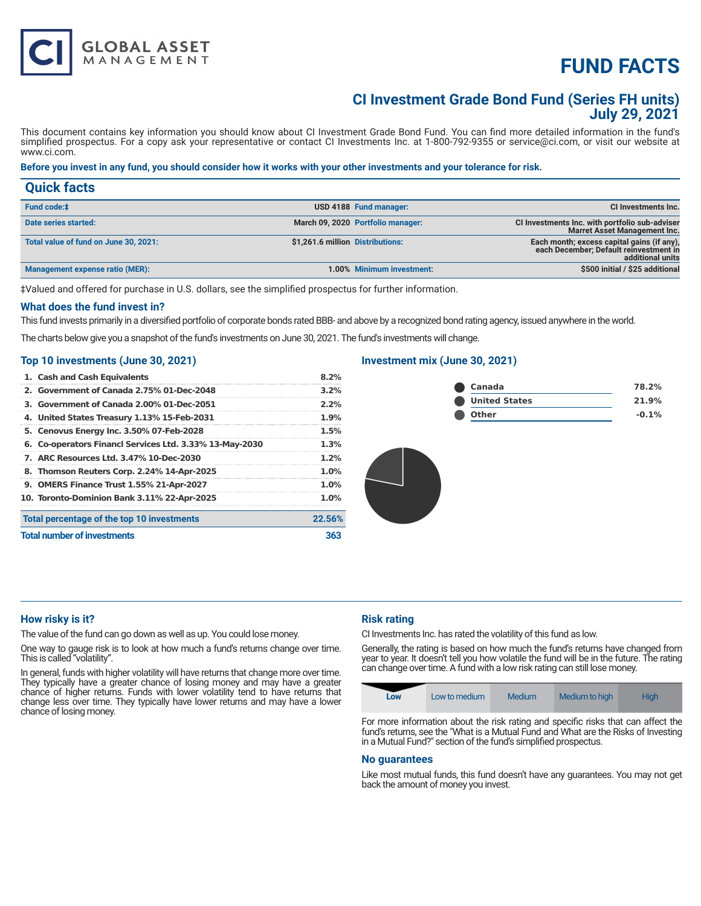# **FUND FACTS**

### **CI Investment Grade Bond Fund (Series FH units) July 29, 2021**

This document contains key information you should know about CI Investment Grade Bond Fund. You can find more detailed information in the fund's simplified prospectus. For a copy ask your representative or contact CI Investments Inc. at 1-800-792-9355 or service@ci.com, or visit our website at www.ci.com.

#### **Before you invest in any fund, you should consider how it works with your other investments and your tolerance for risk.**

| <b>Quick facts</b>                    |                                                                                                                                              |
|---------------------------------------|----------------------------------------------------------------------------------------------------------------------------------------------|
| Fund code:#                           | USD 4188 Fund manager:<br><b>CI Investments Inc.</b>                                                                                         |
| Date series started:                  | March 09, 2020 Portfolio manager:<br>CI Investments Inc. with portfolio sub-adviser<br><b>Marret Asset Management Inc.</b>                   |
| Total value of fund on June 30, 2021: | Each month; excess capital gains (if any),<br>\$1,261.6 million Distributions:<br>each December; Default reinvestment in<br>additional units |
| Management expense ratio (MER):       | \$500 initial / \$25 additional<br>1.00% Minimum investment:                                                                                 |

‡Valued and offered for purchase in U.S. dollars, see the simplified prospectus for further information.

#### **What does the fund invest in?**

This fund invests primarily in a diversified portfolio of corporate bonds rated BBB- and above by a recognized bond rating agency, issued anywhere in the world.

The charts below give you a snapshot of the fund's investments on June 30, 2021. The fund's investments will change.

#### **Top 10 investments (June 30, 2021)**

**GLOBAL ASSET**<br>MANAGEMENT

|                                    | 1. Cash and Cash Equivalents                            | 8.2%    |
|------------------------------------|---------------------------------------------------------|---------|
|                                    | 2. Government of Canada 2.75% 01-Dec-2048               | $3.2\%$ |
|                                    | 3. Government of Canada 2.00% 01-Dec-2051               | 2.2%    |
|                                    | 4. United States Treasury 1.13% 15-Feb-2031             | 1.9%    |
|                                    | 5. Cenovus Energy Inc. 3.50% 07-Feb-2028                | 1.5%    |
|                                    | 6. Co-operators Financl Services Ltd. 3.33% 13-May-2030 | 1.3%    |
|                                    | 7. ARC Resources Ltd. 3.47% 10-Dec-2030                 | 1.2%    |
|                                    | 8. Thomson Reuters Corp. 2.24% 14-Apr-2025              | 1.0%    |
|                                    | 9. OMERS Finance Trust 1.55% 21-Apr-2027                | 1.0%    |
|                                    | 10. Toronto-Dominion Bank 3.11% 22-Apr-2025             | 1.0%    |
|                                    | Total percentage of the top 10 investments              | 22.56%  |
| <b>Total number of investments</b> |                                                         | 363     |

#### **Investment mix (June 30, 2021)**

| Canada               | 78.2%   |
|----------------------|---------|
| <b>United States</b> | 21.9%   |
| Other                | $-0.1%$ |

#### **How risky is it?**

The value of the fund can go down as well as up. You could lose money.

One way to gauge risk is to look at how much a fund's returns change over time. This is called "volatility".

In general, funds with higher volatility will have returns that change more over time. They typically have a greater chance of losing money and may have a greater chance of higher returns. Funds with lower volatility tend to have returns that change less over time. They typically have lower returns and may have a lower chance of losing money.

#### **Risk rating**

CI Investments Inc. has rated the volatility of this fund as low.

Generally, the rating is based on how much the fund's returns have changed from year to year. It doesn't tell you how volatile the fund will be in the future. The rating can change over time. A fund with a low risk rating can still lose money.



For more information about the risk rating and specific risks that can affect the fund's returns, see the "What is a Mutual Fund and What are the Risks of Investing in a Mutual Fund?" section of the fund's simplified prospectus.

#### **No guarantees**

Like most mutual funds, this fund doesn't have any guarantees. You may not get back the amount of money you invest.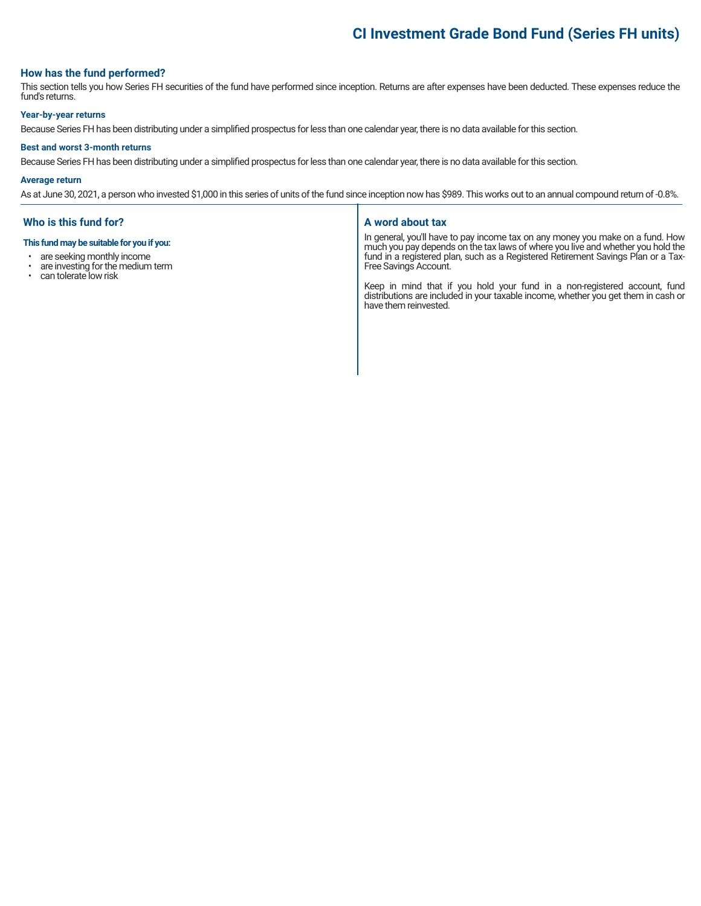## **CI Investment Grade Bond Fund (Series FH units)**

#### **How has the fund performed?**

This section tells you how Series FH securities of the fund have performed since inception. Returns are after expenses have been deducted. These expenses reduce the fund's returns.

#### **Year-by-year returns**

Because Series FH has been distributing under a simplified prospectus for less than one calendar year, there is no data available for this section.

#### **Best and worst 3-month returns**

Because Series FH has been distributing under a simplified prospectus for less than one calendar year, there is no data available for this section.

#### **Average return**

As at June 30, 2021, a person who invested \$1,000 in this series of units of the fund since inception now has \$989. This works out to an annual compound return of -0.8%.

#### **Who is this fund for?**

#### **This fund may be suitable for you if you:**

- are seeking monthly income<br>• are investing for the medium
- are investing for the medium term<br>• can tolerate low risk
- can tolerate low risk

#### **A word about tax**

In general, you'll have to pay income tax on any money you make on a fund. How much you pay depends on the tax laws of where you live and whether you hold the fund in a registered plan, such as a Registered Retirement Savings Plan or a Tax-Free Savings Account.

Keep in mind that if you hold your fund in a non-registered account, fund distributions are included in your taxable income, whether you get them in cash or have them reinvested.